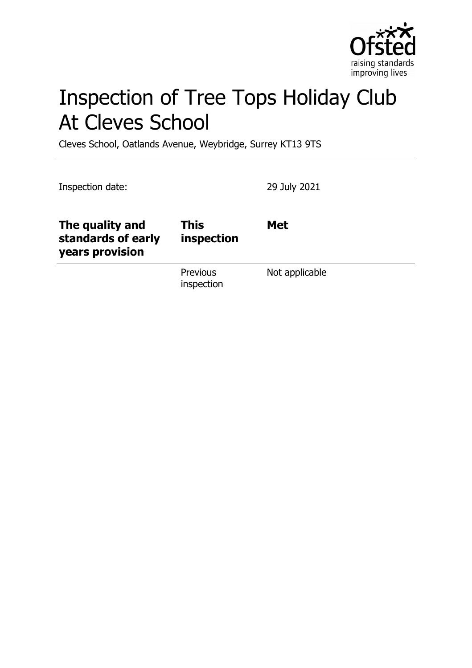

# Inspection of Tree Tops Holiday Club At Cleves School

Cleves School, Oatlands Avenue, Weybridge, Surrey KT13 9TS

Inspection date: 29 July 2021 **The quality and standards of early years provision This inspection Met Previous** inspection Not applicable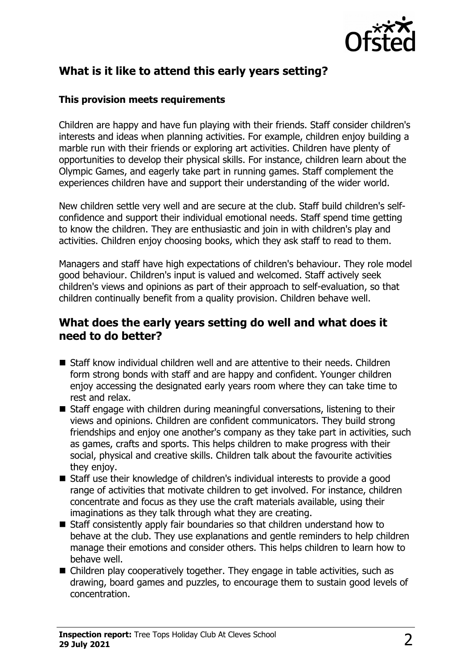

# **What is it like to attend this early years setting?**

#### **This provision meets requirements**

Children are happy and have fun playing with their friends. Staff consider children's interests and ideas when planning activities. For example, children enjoy building a marble run with their friends or exploring art activities. Children have plenty of opportunities to develop their physical skills. For instance, children learn about the Olympic Games, and eagerly take part in running games. Staff complement the experiences children have and support their understanding of the wider world.

New children settle very well and are secure at the club. Staff build children's selfconfidence and support their individual emotional needs. Staff spend time getting to know the children. They are enthusiastic and join in with children's play and activities. Children enjoy choosing books, which they ask staff to read to them.

Managers and staff have high expectations of children's behaviour. They role model good behaviour. Children's input is valued and welcomed. Staff actively seek children's views and opinions as part of their approach to self-evaluation, so that children continually benefit from a quality provision. Children behave well.

## **What does the early years setting do well and what does it need to do better?**

- $\blacksquare$  Staff know individual children well and are attentive to their needs. Children form strong bonds with staff and are happy and confident. Younger children enjoy accessing the designated early years room where they can take time to rest and relax.
- $\blacksquare$  Staff engage with children during meaningful conversations, listening to their views and opinions. Children are confident communicators. They build strong friendships and enjoy one another's company as they take part in activities, such as games, crafts and sports. This helps children to make progress with their social, physical and creative skills. Children talk about the favourite activities they enjoy.
- $\blacksquare$  Staff use their knowledge of children's individual interests to provide a good range of activities that motivate children to get involved. For instance, children concentrate and focus as they use the craft materials available, using their imaginations as they talk through what they are creating.
- $\blacksquare$  Staff consistently apply fair boundaries so that children understand how to behave at the club. They use explanations and gentle reminders to help children manage their emotions and consider others. This helps children to learn how to behave well.
- $\blacksquare$  Children play cooperatively together. They engage in table activities, such as drawing, board games and puzzles, to encourage them to sustain good levels of concentration.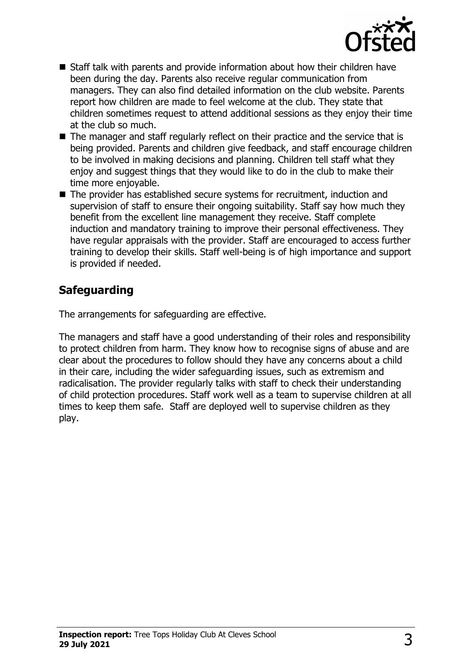

- $\blacksquare$  Staff talk with parents and provide information about how their children have been during the day. Parents also receive regular communication from managers. They can also find detailed information on the club website. Parents report how children are made to feel welcome at the club. They state that children sometimes request to attend additional sessions as they enjoy their time at the club so much.
- $\blacksquare$  The manager and staff regularly reflect on their practice and the service that is being provided. Parents and children give feedback, and staff encourage children to be involved in making decisions and planning. Children tell staff what they enjoy and suggest things that they would like to do in the club to make their time more enjoyable.
- $\blacksquare$  The provider has established secure systems for recruitment, induction and supervision of staff to ensure their ongoing suitability. Staff say how much they benefit from the excellent line management they receive. Staff complete induction and mandatory training to improve their personal effectiveness. They have regular appraisals with the provider. Staff are encouraged to access further training to develop their skills. Staff well-being is of high importance and support is provided if needed.

# **Safeguarding**

The arrangements for safeguarding are effective.

The managers and staff have a good understanding of their roles and responsibility to protect children from harm. They know how to recognise signs of abuse and are clear about the procedures to follow should they have any concerns about a child in their care, including the wider safeguarding issues, such as extremism and radicalisation. The provider regularly talks with staff to check their understanding of child protection procedures. Staff work well as a team to supervise children at all times to keep them safe. Staff are deployed well to supervise children as they play.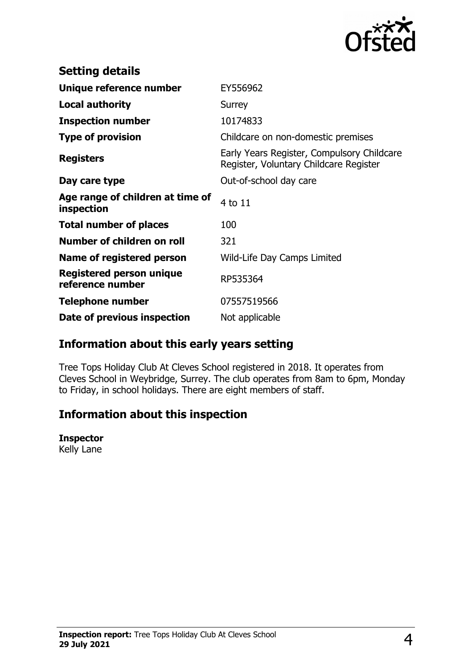

| <b>Setting details</b>                         |                                                                                      |
|------------------------------------------------|--------------------------------------------------------------------------------------|
| Unique reference number                        | EY556962                                                                             |
| <b>Local authority</b>                         | Surrey                                                                               |
| <b>Inspection number</b>                       | 10174833                                                                             |
| <b>Type of provision</b>                       | Childcare on non-domestic premises                                                   |
| <b>Registers</b>                               | Early Years Register, Compulsory Childcare<br>Register, Voluntary Childcare Register |
| Day care type                                  | Out-of-school day care                                                               |
| Age range of children at time of<br>inspection | 4 to 11                                                                              |
| <b>Total number of places</b>                  | 100                                                                                  |
| Number of children on roll                     | 321                                                                                  |
| Name of registered person                      | Wild-Life Day Camps Limited                                                          |
| Registered person unique<br>reference number   | RP535364                                                                             |
| <b>Telephone number</b>                        | 07557519566                                                                          |
| Date of previous inspection                    | Not applicable                                                                       |

## **Information about this early years setting**

Tree Tops Holiday Club At Cleves School registered in 2018. It operates from Cleves School in Weybridge, Surrey. The club operates from 8am to 6pm, Monday to Friday, in school holidays. There are eight members of staff.

## **Information about this inspection**

### **Inspector**

Kelly Lane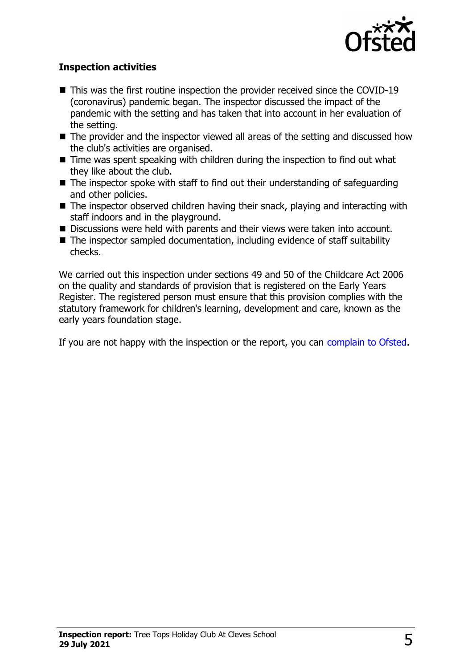

### **Inspection activities**

- $\blacksquare$  This was the first routine inspection the provider received since the COVID-19 (coronavirus) pandemic began. The inspector discussed the impact of the pandemic with the setting and has taken that into account in her evaluation of the setting.
- $\blacksquare$  The provider and the inspector viewed all areas of the setting and discussed how the club's activities are organised.
- $\blacksquare$  Time was spent speaking with children during the inspection to find out what they like about the club.
- $\blacksquare$  The inspector spoke with staff to find out their understanding of safeguarding and other policies.
- $\blacksquare$  The inspector observed children having their snack, playing and interacting with staff indoors and in the playground.
- Discussions were held with parents and their views were taken into account.
- $\blacksquare$  The inspector sampled documentation, including evidence of staff suitability checks.

We carried out this inspection under sections 49 and 50 of the Childcare Act 2006 on the quality and standards of provision that is registered on the Early Years Register. The registered person must ensure that this provision complies with the statutory framework for children's learning, development and care, known as the early years foundation stage.

If you are not happy with the inspection or the report, you can [complain to Ofsted.](http://www.gov.uk/complain-ofsted-report)